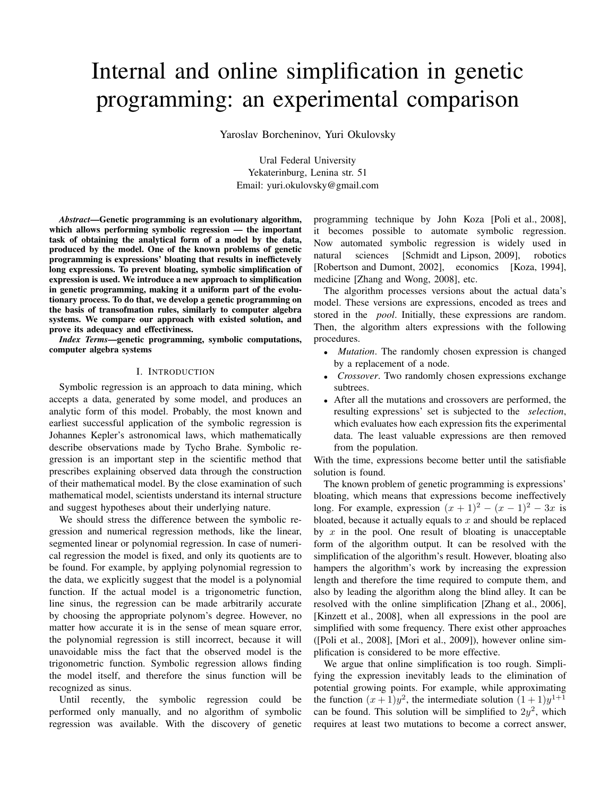# Internal and online simplification in genetic programming: an experimental comparison

Yaroslav Borcheninov, Yuri Okulovsky

Ural Federal University Yekaterinburg, Lenina str. 51 Email: yuri.okulovsky@gmail.com

*Abstract*—Genetic programming is an evolutionary algorithm, which allows performing symbolic regression — the important task of obtaining the analytical form of a model by the data, produced by the model. One of the known problems of genetic programming is expressions' bloating that results in ineffictevely long expressions. To prevent bloating, symbolic simplification of expression is used. We introduce a new approach to simplification in genetic programming, making it a uniform part of the evolutionary process. To do that, we develop a genetic programming on the basis of transofmation rules, similarly to computer algebra systems. We compare our approach with existed solution, and prove its adequacy and effectiviness.

*Index Terms*—genetic programming, symbolic computations, computer algebra systems

# I. INTRODUCTION

Symbolic regression is an approach to data mining, which accepts a data, generated by some model, and produces an analytic form of this model. Probably, the most known and earliest successful application of the symbolic regression is Johannes Kepler's astronomical laws, which mathematically describe observations made by Tycho Brahe. Symbolic regression is an important step in the scientific method that prescribes explaining observed data through the construction of their mathematical model. By the close examination of such mathematical model, scientists understand its internal structure and suggest hypotheses about their underlying nature.

We should stress the difference between the symbolic regression and numerical regression methods, like the linear, segmented linear or polynomial regression. In case of numerical regression the model is fixed, and only its quotients are to be found. For example, by applying polynomial regression to the data, we explicitly suggest that the model is a polynomial function. If the actual model is a trigonometric function, line sinus, the regression can be made arbitrarily accurate by choosing the appropriate polynom's degree. However, no matter how accurate it is in the sense of mean square error, the polynomial regression is still incorrect, because it will unavoidable miss the fact that the observed model is the trigonometric function. Symbolic regression allows finding the model itself, and therefore the sinus function will be recognized as sinus.

Until recently, the symbolic regression could be performed only manually, and no algorithm of symbolic regression was available. With the discovery of genetic programming technique by John Koza [Poli et al., 2008], it becomes possible to automate symbolic regression. Now automated symbolic regression is widely used in natural sciences [Schmidt and Lipson, 2009], robotics [Robertson and Dumont, 2002], economics [Koza, 1994], medicine [Zhang and Wong, 2008], etc.

The algorithm processes versions about the actual data's model. These versions are expressions, encoded as trees and stored in the *pool*. Initially, these expressions are random. Then, the algorithm alters expressions with the following procedures.

- *Mutation*. The randomly chosen expression is changed by a replacement of a node.
- *Crossover*. Two randomly chosen expressions exchange subtrees.
- After all the mutations and crossovers are performed, the resulting expressions' set is subjected to the *selection*, which evaluates how each expression fits the experimental data. The least valuable expressions are then removed from the population.

With the time, expressions become better until the satisfiable solution is found.

The known problem of genetic programming is expressions' bloating, which means that expressions become ineffectively long. For example, expression  $(x + 1)^2 - (x - 1)^2 - 3x$  is bloated, because it actually equals to  $x$  and should be replaced by  $x$  in the pool. One result of bloating is unacceptable form of the algorithm output. It can be resolved with the simplification of the algorithm's result. However, bloating also hampers the algorithm's work by increasing the expression length and therefore the time required to compute them, and also by leading the algorithm along the blind alley. It can be resolved with the online simplification [Zhang et al., 2006], [Kinzett et al., 2008], when all expressions in the pool are simplified with some frequency. There exist other approaches ([Poli et al., 2008], [Mori et al., 2009]), however online simplification is considered to be more effective.

We argue that online simplification is too rough. Simplifying the expression inevitably leads to the elimination of potential growing points. For example, while approximating the function  $(x+1)y^2$ , the intermediate solution  $(1+1)y^{1+1}$ can be found. This solution will be simplified to  $2y^2$ , which requires at least two mutations to become a correct answer,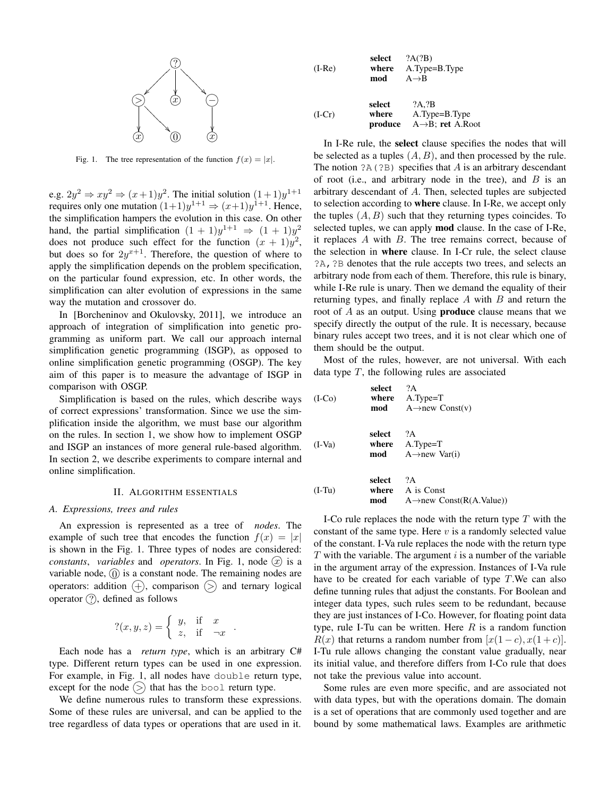

Fig. 1. The tree representation of the function  $f(x) = |x|$ .

e.g.  $2y^2 \Rightarrow xy^2 \Rightarrow (x+1)y^2$ . The initial solution  $(1+1)y^{1+1}$ requires only one mutation  $(1+1)y^{1+1} \Rightarrow (x+1)y^{1+1}$ . Hence, the simplification hampers the evolution in this case. On other hand, the partial simplification  $(1 + 1)y^{1+1} \Rightarrow (1 + 1)y^2$ does not produce such effect for the function  $(x + 1)y^2$ , but does so for  $2y^{x+1}$ . Therefore, the question of where to apply the simplification depends on the problem specification, on the particular found expression, etc. In other words, the simplification can alter evolution of expressions in the same way the mutation and crossover do.

In [Borcheninov and Okulovsky, 2011], we introduce an approach of integration of simplification into genetic programming as uniform part. We call our approach internal simplification genetic programming (ISGP), as opposed to online simplification genetic programming (OSGP). The key aim of this paper is to measure the advantage of ISGP in comparison with OSGP.

Simplification is based on the rules, which describe ways of correct expressions' transformation. Since we use the simplification inside the algorithm, we must base our algorithm on the rules. In section 1, we show how to implement OSGP and ISGP an instances of more general rule-based algorithm. In section 2, we describe experiments to compare internal and online simplification.

## II. ALGORITHM ESSENTIALS

### *A. Expressions, trees and rules*

An expression is represented as a tree of *nodes*. The example of such tree that encodes the function  $f(x) = |x|$ is shown in the Fig. 1. Three types of nodes are considered: *constants, variables* and *operators*. In Fig. 1, node  $(\bar{x})$  is a variable node,  $(0)$  is a constant node. The remaining nodes are operators: addition  $(+)$ , comparison  $(>)$  and ternary logical operator  $(?)$ , defined as follows

$$
?(x, y, z) = \begin{cases} y, & \text{if } x \\ z, & \text{if } -x \end{cases}
$$

.

Each node has a *return type*, which is an arbitrary C# type. Different return types can be used in one expression. For example, in Fig. 1, all nodes have double return type, except for the node  $(>)$  that has the bool return type.

We define numerous rules to transform these expressions. Some of these rules are universal, and can be applied to the tree regardless of data types or operations that are used in it.

| select<br>where<br>$(I-Re)$<br>mod |                            | ?A(?B)<br>A.Type=B.Type<br>$A \rightarrow B$             |
|------------------------------------|----------------------------|----------------------------------------------------------|
| $(I-Cr)$                           | select<br>where<br>produce | ?A.?B<br>A.Type=B.Type<br>$A \rightarrow B$ ; ret A.Root |

In I-Re rule, the select clause specifies the nodes that will be selected as a tuples  $(A, B)$ , and then processed by the rule. The notion  $?A(?B)$  specifies that A is an arbitrary descendant of root (i.e., and arbitrary node in the tree), and  $B$  is an arbitrary descendant of A. Then, selected tuples are subjected to selection according to where clause. In I-Re, we accept only the tuples  $(A, B)$  such that they returning types coincides. To selected tuples, we can apply **mod** clause. In the case of I-Re, it replaces  $A$  with  $B$ . The tree remains correct, because of the selection in where clause. In I-Cr rule, the select clause ?A,?B denotes that the rule accepts two trees, and selects an arbitrary node from each of them. Therefore, this rule is binary, while I-Re rule is unary. Then we demand the equality of their returning types, and finally replace  $A$  with  $B$  and return the root of A as an output. Using produce clause means that we specify directly the output of the rule. It is necessary, because binary rules accept two trees, and it is not clear which one of them should be the output.

Most of the rules, however, are not universal. With each data type  $T$ , the following rules are associated

| $(I-CO)$ | select        | ?A<br>where $A.T$ ype= $T$<br>$\text{mod}$ A $\rightarrow$ new Const(v)       |
|----------|---------------|-------------------------------------------------------------------------------|
| $(I-Va)$ | select        | ?A<br>where $A.T$ ype= $T$<br><b>mod</b> $A \rightarrow new \; \text{Var}(i)$ |
| $(I-Tu)$ | select<br>mod | ?A<br>where A is Const<br>A $\rightarrow$ new Const(R(A.Value))               |

I-Co rule replaces the node with the return type  $T$  with the constant of the same type. Here  $v$  is a randomly selected value of the constant. I-Va rule replaces the node with the return type  $T$  with the variable. The argument  $i$  is a number of the variable in the argument array of the expression. Instances of I-Va rule have to be created for each variable of type  $T$ . We can also define tunning rules that adjust the constants. For Boolean and integer data types, such rules seem to be redundant, because they are just instances of I-Co. However, for floating point data type, rule I-Tu can be written. Here  $R$  is a random function  $R(x)$  that returns a random number from  $[x(1-c), x(1+c)]$ . I-Tu rule allows changing the constant value gradually, near its initial value, and therefore differs from I-Co rule that does not take the previous value into account.

Some rules are even more specific, and are associated not with data types, but with the operations domain. The domain is a set of operations that are commonly used together and are bound by some mathematical laws. Examples are arithmetic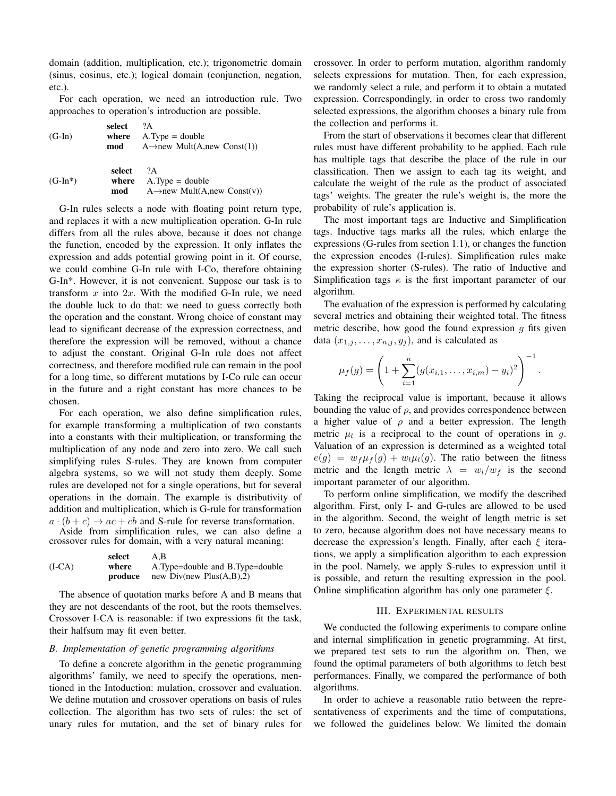domain (addition, multiplication, etc.); trigonometric domain (sinus, cosinus, etc.); logical domain (conjunction, negation, etc.).

For each operation, we need an introduction rule. Two approaches to operation's introduction are possible.

| $(G-In)$  | select<br>mod | $\gamma_{\rm A}$<br>where $A.Type = double$<br>A $\rightarrow$ new Mult(A,new Const(1)) |
|-----------|---------------|-----------------------------------------------------------------------------------------|
| $(G-In*)$ | select        | 2A<br>where $A.Type = double$                                                           |

| $J-In*$ | where | $A.Type = double$                        |
|---------|-------|------------------------------------------|
|         | mod   | A $\rightarrow$ new Mult(A,new Const(v)) |

G-In rules selects a node with floating point return type, and replaces it with a new multiplication operation. G-In rule differs from all the rules above, because it does not change the function, encoded by the expression. It only inflates the expression and adds potential growing point in it. Of course, we could combine G-In rule with I-Co, therefore obtaining G-In\*. However, it is not convenient. Suppose our task is to transform  $x$  into  $2x$ . With the modified G-In rule, we need the double luck to do that: we need to guess correctly both the operation and the constant. Wrong choice of constant may lead to significant decrease of the expression correctness, and therefore the expression will be removed, without a chance to adjust the constant. Original G-In rule does not affect correctness, and therefore modified rule can remain in the pool for a long time, so different mutations by I-Co rule can occur in the future and a right constant has more chances to be chosen.

For each operation, we also define simplification rules, for example transforming a multiplication of two constants into a constants with their multiplication, or transforming the multiplication of any node and zero into zero. We call such simplifying rules S-rules. They are known from computer algebra systems, so we will not study them deeply. Some rules are developed not for a single operations, but for several operations in the domain. The example is distributivity of addition and multiplication, which is G-rule for transformation  $a \cdot (b + c) \rightarrow ac + cb$  and S-rule for reverse transformation.

Aside from simplification rules, we can also define a crossover rules for domain, with a very natural meaning:

(I-CA) select A,B where A.Type=double and B.Type=double produce new Div(new Plus(A,B),2)

The absence of quotation marks before A and B means that they are not descendants of the root, but the roots themselves. Crossover I-CA is reasonable: if two expressions fit the task, their halfsum may fit even better.

# *B. Implementation of genetic programming algorithms*

To define a concrete algorithm in the genetic programming algorithms' family, we need to specify the operations, mentioned in the Intoduction: mulation, crossover and evaluation. We define mutation and crossover operations on basis of rules collection. The algorithm has two sets of rules: the set of unary rules for mutation, and the set of binary rules for crossover. In order to perform mutation, algorithm randomly selects expressions for mutation. Then, for each expression, we randomly select a rule, and perform it to obtain a mutated expression. Correspondingly, in order to cross two randomly selected expressions, the algorithm chooses a binary rule from the collection and performs it.

From the start of observations it becomes clear that different rules must have different probability to be applied. Each rule has multiple tags that describe the place of the rule in our classification. Then we assign to each tag its weight, and calculate the weight of the rule as the product of associated tags' weights. The greater the rule's weight is, the more the probability of rule's application is.

The most important tags are Inductive and Simplification tags. Inductive tags marks all the rules, which enlarge the expressions (G-rules from section 1.1), or changes the function the expression encodes (I-rules). Simplification rules make the expression shorter (S-rules). The ratio of Inductive and Simplification tags  $\kappa$  is the first important parameter of our algorithm.

The evaluation of the expression is performed by calculating several metrics and obtaining their weighted total. The fitness metric describe, how good the found expression  $q$  fits given data  $(x_{1,i},\ldots,x_{n,j},y_i)$ , and is calculated as

$$
\mu_f(g) = \left(1 + \sum_{i=1}^n (g(x_{i,1}, \ldots, x_{i,m}) - y_i)^2\right)^{-1}
$$

.

Taking the reciprocal value is important, because it allows bounding the value of  $\rho$ , and provides correspondence between a higher value of  $\rho$  and a better expression. The length metric  $\mu_l$  is a reciprocal to the count of operations in g. Valuation of an expression is determined as a weighted total  $e(g) = w_f \mu_f(g) + w_l \mu_l(g)$ . The ratio between the fitness metric and the length metric  $\lambda = w_l/w_f$  is the second important parameter of our algorithm.

To perform online simplification, we modify the described algorithm. First, only I- and G-rules are allowed to be used in the algorithm. Second, the weight of length metric is set to zero, because algorithm does not have necessary means to decrease the expression's length. Finally, after each  $\xi$  iterations, we apply a simplification algorithm to each expression in the pool. Namely, we apply S-rules to expression until it is possible, and return the resulting expression in the pool. Online simplification algorithm has only one parameter  $\xi$ .

# III. EXPERIMENTAL RESULTS

We conducted the following experiments to compare online and internal simplification in genetic programming. At first, we prepared test sets to run the algorithm on. Then, we found the optimal parameters of both algorithms to fetch best performances. Finally, we compared the performance of both algorithms.

In order to achieve a reasonable ratio between the representativeness of experiments and the time of computations, we followed the guidelines below. We limited the domain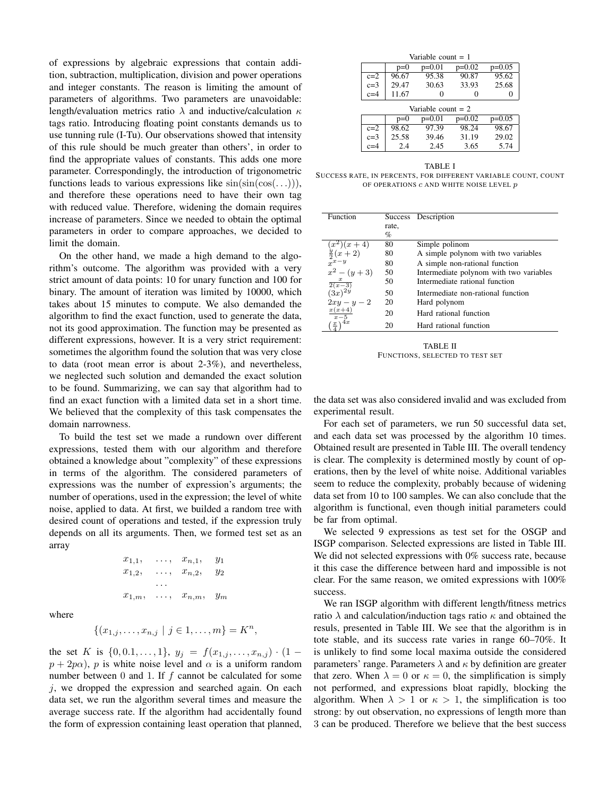of expressions by algebraic expressions that contain addition, subtraction, multiplication, division and power operations and integer constants. The reason is limiting the amount of parameters of algorithms. Two parameters are unavoidable: length/evaluation metrics ratio  $\lambda$  and inductive/calculation  $\kappa$ tags ratio. Introducing floating point constants demands us to use tunning rule (I-Tu). Our observations showed that intensity of this rule should be much greater than others', in order to find the appropriate values of constants. This adds one more parameter. Correspondingly, the introduction of trigonometric functions leads to various expressions like  $sin(sin(cos(.))),$ and therefore these operations need to have their own tag with reduced value. Therefore, widening the domain requires increase of parameters. Since we needed to obtain the optimal parameters in order to compare approaches, we decided to limit the domain.

On the other hand, we made a high demand to the algorithm's outcome. The algorithm was provided with a very strict amount of data points: 10 for unary function and 100 for binary. The amount of iteration was limited by 10000, which takes about 15 minutes to compute. We also demanded the algorithm to find the exact function, used to generate the data, not its good approximation. The function may be presented as different expressions, however. It is a very strict requirement: sometimes the algorithm found the solution that was very close to data (root mean error is about 2-3%), and nevertheless, we neglected such solution and demanded the exact solution to be found. Summarizing, we can say that algorithm had to find an exact function with a limited data set in a short time. We believed that the complexity of this task compensates the domain narrowness.

To build the test set we made a rundown over different expressions, tested them with our algorithm and therefore obtained a knowledge about "complexity" of these expressions in terms of the algorithm. The considered parameters of expressions was the number of expression's arguments; the number of operations, used in the expression; the level of white noise, applied to data. At first, we builded a random tree with desired count of operations and tested, if the expression truly depends on all its arguments. Then, we formed test set as an array

$$
x_{1,1}, \ldots, x_{n,1}, y_1\n x_{1,2}, \ldots, x_{n,2}, y_2\n \ldots\n x_{1,m}, \ldots, x_{n,m}, y_m
$$

where

$$
\{(x_{1,j},\ldots,x_{n,j} \mid j \in 1,\ldots,m\} = K^n
$$

,

the set K is  $\{0, 0.1, \ldots, 1\}, y_j = f(x_{1,j}, \ldots, x_{n,j}) \cdot (1$  $p + 2p\alpha$ , p is white noise level and  $\alpha$  is a uniform random number between 0 and 1. If f cannot be calculated for some  $j$ , we dropped the expression and searched again. On each data set, we run the algorithm several times and measure the average success rate. If the algorithm had accidentally found the form of expression containing least operation that planned,

| Variable count $= 1$ |       |          |          |          |  |
|----------------------|-------|----------|----------|----------|--|
|                      | $p=0$ | $p=0.05$ |          |          |  |
| $c=2$                | 96.67 | 95.38    | 90.87    | 95.62    |  |
| $c=3$                | 29.47 | 30.63    | 33.93    | 25.68    |  |
| $c=4$                | 11.67 |          |          |          |  |
| Variable count $= 2$ |       |          |          |          |  |
|                      |       |          |          |          |  |
|                      | $p=0$ | $p=0.01$ | $p=0.02$ | $p=0.05$ |  |
| $c=2$                | 98.62 | 97.39    | 98.24    | 98.67    |  |
| $c=3$                | 25.58 | 39.46    | 31.19    | 29.02    |  |

TABLE I SUCCESS RATE, IN PERCENTS, FOR DIFFERENT VARIABLE COUNT, COUNT OF OPERATIONS  $c$  and white noise level  $p$ 

| Function            | <b>Success</b> | Description                             |
|---------------------|----------------|-----------------------------------------|
|                     | rate,          |                                         |
|                     | %              |                                         |
| $(x^2)(x+4)$        | 80             | Simple polinom                          |
| $\frac{y}{2}(x+2)$  | 80             | A simple polynom with two variables     |
|                     | 80             | A simple non-rational function          |
| $x^2 - (y+3)$       | 50             | Intermediate polynom with two variables |
| $\frac{x}{2(x-3)}$  | 50             | Intermediate rational function          |
| $(3x)^{2y}$         | 50             | Intermediate non-rational function      |
| $2xy - y - 2$       | 20             | Hard polynom                            |
| $x(x+4)$<br>$x-5$   | 20             | Hard rational function                  |
| 4x<br>$\frac{x}{x}$ | 20             | Hard rational function                  |

TABLE II FUNCTIONS, SELECTED TO TEST SET

the data set was also considered invalid and was excluded from experimental result.

For each set of parameters, we run 50 successful data set, and each data set was processed by the algorithm 10 times. Obtained result are presented in Table III. The overall tendency is clear. The complexity is determined mostly by count of operations, then by the level of white noise. Additional variables seem to reduce the complexity, probably because of widening data set from 10 to 100 samples. We can also conclude that the algorithm is functional, even though initial parameters could be far from optimal.

We selected 9 expressions as test set for the OSGP and ISGP comparison. Selected expressions are listed in Table III. We did not selected expressions with 0% success rate, because it this case the difference between hard and impossible is not clear. For the same reason, we omited expressions with 100% success.

We ran ISGP algorithm with different length/fitness metrics ratio  $\lambda$  and calculation/induction tags ratio  $\kappa$  and obtained the resuls, presented in Table III. We see that the algorithm is in tote stable, and its success rate varies in range 60–70%. It is unlikely to find some local maxima outside the considered parameters' range. Parameters  $\lambda$  and  $\kappa$  by definition are greater that zero. When  $\lambda = 0$  or  $\kappa = 0$ , the simplification is simply not performed, and expressions bloat rapidly, blocking the algorithm. When  $\lambda > 1$  or  $\kappa > 1$ , the simplification is too strong: by out observation, no expressions of length more than 3 can be produced. Therefore we believe that the best success